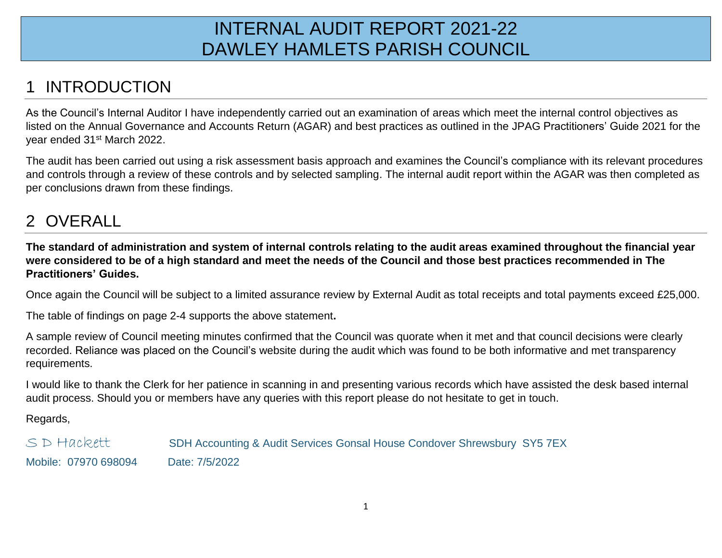## INTERNAL AUDIT REPORT 2021-22 DAWLEY HAMLETS PARISH COUNCIL

## **INTRODUCTION**

As the Council's Internal Auditor I have independently carried out an examination of areas which meet the internal control objectives as listed on the Annual Governance and Accounts Return (AGAR) and best practices as outlined in the JPAG Practitioners' Guide 2021 for the year ended 31st March 2022.

The audit has been carried out using a risk assessment basis approach and examines the Council's compliance with its relevant procedures and controls through a review of these controls and by selected sampling. The internal audit report within the AGAR was then completed as per conclusions drawn from these findings.

## 2 OVERALL

**The standard of administration and system of internal controls relating to the audit areas examined throughout the financial year were considered to be of a high standard and meet the needs of the Council and those best practices recommended in The Practitioners' Guides.**

Once again the Council will be subject to a limited assurance review by External Audit as total receipts and total payments exceed £25,000.

The table of findings on page 2-4 supports the above statement**.** 

A sample review of Council meeting minutes confirmed that the Council was quorate when it met and that council decisions were clearly recorded. Reliance was placed on the Council's website during the audit which was found to be both informative and met transparency requirements.

I would like to thank the Clerk for her patience in scanning in and presenting various records which have assisted the desk based internal audit process. Should you or members have any queries with this report please do not hesitate to get in touch.

Regards,

S D Hackett SDH Accounting & Audit Services Gonsal House Condover Shrewsbury SY5 7EX Mobile: 07970 698094 Date: 7/5/2022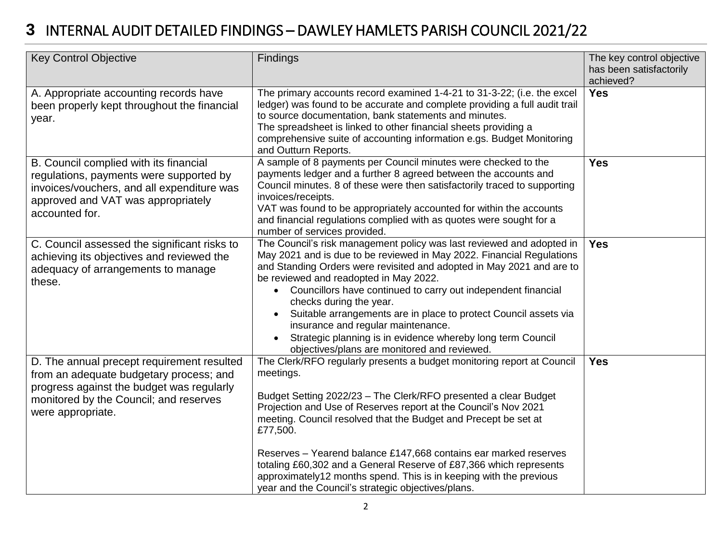## **3** INTERNAL AUDIT DETAILED FINDINGS – DAWLEY HAMLETS PARISH COUNCIL 2021/22

| <b>Key Control Objective</b>                                                                                                                                                                      | Findings                                                                                                                                                                                                                                                                                                                                                                                                                                                                                                                                                                                            | The key control objective<br>has been satisfactorily<br>achieved? |
|---------------------------------------------------------------------------------------------------------------------------------------------------------------------------------------------------|-----------------------------------------------------------------------------------------------------------------------------------------------------------------------------------------------------------------------------------------------------------------------------------------------------------------------------------------------------------------------------------------------------------------------------------------------------------------------------------------------------------------------------------------------------------------------------------------------------|-------------------------------------------------------------------|
| A. Appropriate accounting records have<br>been properly kept throughout the financial<br>year.                                                                                                    | The primary accounts record examined 1-4-21 to 31-3-22; (i.e. the excel<br>ledger) was found to be accurate and complete providing a full audit trail<br>to source documentation, bank statements and minutes.<br>The spreadsheet is linked to other financial sheets providing a<br>comprehensive suite of accounting information e.gs. Budget Monitoring<br>and Outturn Reports.                                                                                                                                                                                                                  | <b>Yes</b>                                                        |
| B. Council complied with its financial<br>regulations, payments were supported by<br>invoices/vouchers, and all expenditure was<br>approved and VAT was appropriately<br>accounted for.           | A sample of 8 payments per Council minutes were checked to the<br>payments ledger and a further 8 agreed between the accounts and<br>Council minutes. 8 of these were then satisfactorily traced to supporting<br>invoices/receipts.<br>VAT was found to be appropriately accounted for within the accounts<br>and financial regulations complied with as quotes were sought for a<br>number of services provided.                                                                                                                                                                                  | <b>Yes</b>                                                        |
| C. Council assessed the significant risks to<br>achieving its objectives and reviewed the<br>adequacy of arrangements to manage<br>these.                                                         | The Council's risk management policy was last reviewed and adopted in<br>May 2021 and is due to be reviewed in May 2022. Financial Regulations<br>and Standing Orders were revisited and adopted in May 2021 and are to<br>be reviewed and readopted in May 2022.<br>Councillors have continued to carry out independent financial<br>$\bullet$<br>checks during the year.<br>Suitable arrangements are in place to protect Council assets via<br>insurance and regular maintenance.<br>Strategic planning is in evidence whereby long term Council<br>objectives/plans are monitored and reviewed. | <b>Yes</b>                                                        |
| D. The annual precept requirement resulted<br>from an adequate budgetary process; and<br>progress against the budget was regularly<br>monitored by the Council; and reserves<br>were appropriate. | The Clerk/RFO regularly presents a budget monitoring report at Council<br>meetings.<br>Budget Setting 2022/23 - The Clerk/RFO presented a clear Budget<br>Projection and Use of Reserves report at the Council's Nov 2021<br>meeting. Council resolved that the Budget and Precept be set at<br>£77,500.<br>Reserves - Yearend balance £147,668 contains ear marked reserves<br>totaling £60,302 and a General Reserve of £87,366 which represents<br>approximately12 months spend. This is in keeping with the previous<br>year and the Council's strategic objectives/plans.                      | <b>Yes</b>                                                        |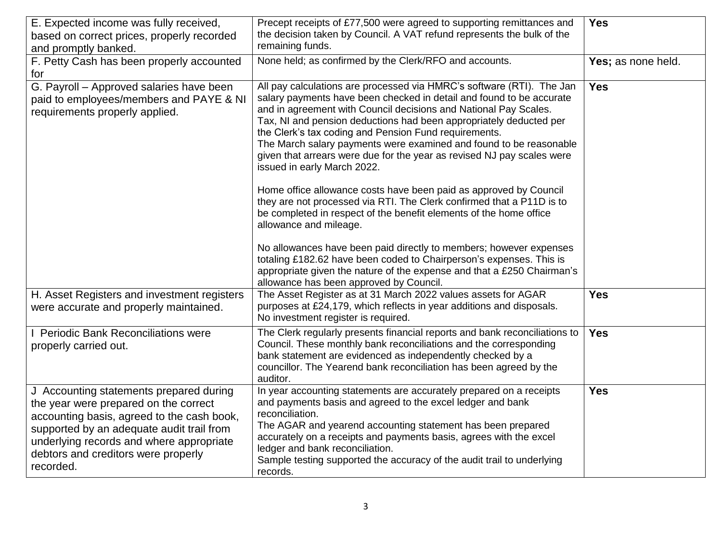| E. Expected income was fully received,<br>based on correct prices, properly recorded<br>and promptly banked.                                                                                                                                                                | Precept receipts of £77,500 were agreed to supporting remittances and<br>the decision taken by Council. A VAT refund represents the bulk of the<br>remaining funds.                                                                                                                                                                                                                                                                                                                                                             | <b>Yes</b>         |
|-----------------------------------------------------------------------------------------------------------------------------------------------------------------------------------------------------------------------------------------------------------------------------|---------------------------------------------------------------------------------------------------------------------------------------------------------------------------------------------------------------------------------------------------------------------------------------------------------------------------------------------------------------------------------------------------------------------------------------------------------------------------------------------------------------------------------|--------------------|
| F. Petty Cash has been properly accounted<br>for                                                                                                                                                                                                                            | None held; as confirmed by the Clerk/RFO and accounts.                                                                                                                                                                                                                                                                                                                                                                                                                                                                          | Yes; as none held. |
| G. Payroll - Approved salaries have been<br>paid to employees/members and PAYE & NI<br>requirements properly applied.                                                                                                                                                       | All pay calculations are processed via HMRC's software (RTI). The Jan<br>salary payments have been checked in detail and found to be accurate<br>and in agreement with Council decisions and National Pay Scales.<br>Tax, NI and pension deductions had been appropriately deducted per<br>the Clerk's tax coding and Pension Fund requirements.<br>The March salary payments were examined and found to be reasonable<br>given that arrears were due for the year as revised NJ pay scales were<br>issued in early March 2022. | <b>Yes</b>         |
|                                                                                                                                                                                                                                                                             | Home office allowance costs have been paid as approved by Council<br>they are not processed via RTI. The Clerk confirmed that a P11D is to<br>be completed in respect of the benefit elements of the home office<br>allowance and mileage.                                                                                                                                                                                                                                                                                      |                    |
|                                                                                                                                                                                                                                                                             | No allowances have been paid directly to members; however expenses<br>totaling £182.62 have been coded to Chairperson's expenses. This is<br>appropriate given the nature of the expense and that a £250 Chairman's<br>allowance has been approved by Council.                                                                                                                                                                                                                                                                  |                    |
| H. Asset Registers and investment registers<br>were accurate and properly maintained.                                                                                                                                                                                       | The Asset Register as at 31 March 2022 values assets for AGAR<br>purposes at £24,179, which reflects in year additions and disposals.<br>No investment register is required.                                                                                                                                                                                                                                                                                                                                                    | <b>Yes</b>         |
| I Periodic Bank Reconciliations were<br>properly carried out.                                                                                                                                                                                                               | The Clerk regularly presents financial reports and bank reconciliations to<br>Council. These monthly bank reconciliations and the corresponding<br>bank statement are evidenced as independently checked by a<br>councillor. The Yearend bank reconciliation has been agreed by the<br>auditor.                                                                                                                                                                                                                                 | <b>Yes</b>         |
| J Accounting statements prepared during<br>the year were prepared on the correct<br>accounting basis, agreed to the cash book,<br>supported by an adequate audit trail from<br>underlying records and where appropriate<br>debtors and creditors were properly<br>recorded. | In year accounting statements are accurately prepared on a receipts<br>and payments basis and agreed to the excel ledger and bank<br>reconciliation.<br>The AGAR and yearend accounting statement has been prepared<br>accurately on a receipts and payments basis, agrees with the excel<br>ledger and bank reconciliation.<br>Sample testing supported the accuracy of the audit trail to underlying<br>records.                                                                                                              | <b>Yes</b>         |